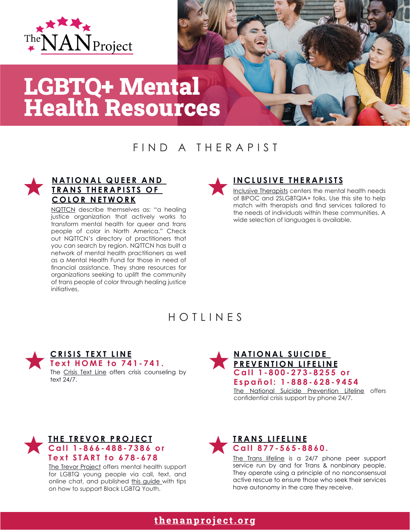

# LGBTQ+ Mental Health Resources

## FIND A THERAPIST



#### **NATIONAL QUEER AND TRANS THERAPISTS OF [COLOR NETWORK](https://www.nqttcn.com/)**

[NQTTCN](https://www.nqttcn.com/) describe themselves as: "a healing justice organization that actively works to transform mental health for queer and trans people of color in North America." Check out NQTTCN's directory of practitioners that you can search by region. NQTTCN has built a network of mental health practitioners as well as a Mental Health Fund for those in need of financial assistance. They share resources for organizations seeking to uplift the community of trans people of color through healing justice initiatives.



#### **[INCLUSIVE THERAPISTS](https://www.inclusivetherapists.com/)**

[Inclusive Therapists](https://www.inclusivetherapists.com/) centers the mental health needs of BlPOC and 2SLGBTQIA+ folks. Use this site to help match with therapists and find services tailored to the needs of individuals within these communities. A wide selection of languages is available.

## HOTLINES



**Text HOME to 741-741.**

The [Crisis Text Line](https://www.crisistextline.org/) offers crisis counseling by text 24/7.

**NATIONAL SUICIDE [PREVENTION LIFELINE](https://suicidepreventionlifeline.org/)** [The National Suicide Prevention Lifeline](https://suicidepreventionlifeline.org/) offers confidential crisis support by phone 24/7. **C a l l 1 - 8 0 0 - 2 7 3 - 8 2 5 5 o r Español: 1-888-628-9454**



[The Trevor Project](https://www.thetrevorproject.org/?gclid=EAIaIQobChMI087e2d6Q8wIVRsvICh2mZA0uEAAYASAAEgKhi_D_BwE) offers mental health support for LGBTQ young people via call, text, and online chat, and published [this guide](https://www.thetrevorproject.org/2020/06/01/supporting-black-lgbtq-youth-mental-health/) with tips on how to support Black LGBTQ Youth.



#### **[TRANS LIFELINE](https://translifeline.org/) Call 877-565-8860.**

[The Trans lifeline](https://translifeline.org/) is a 24/7 phone peer support service run by and for Trans & nonbinary people. They operate using a principle of no nonconsensual active rescue to ensure those who seek their services have autonomy in the care they receive.

### **[thenanproject.org](http://thenanproject.org)**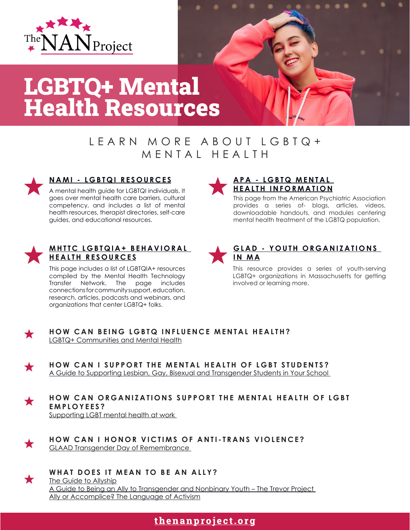

# LGBTQ+ Mental Health Resources

# L E A R N M O R E A B O U T L G B T Q + MENTAL HEALTH



#### **[NAMI - LGBTQI RESOURCES](https://www.nami.org/Your-Journey/Identity-and-Cultural-Dimensions/LGBTQI)**

A mental health guide for LGBTQI individuals. It goes over mental health care barriers, cultural competency, and includes a list of mental health resources, therapist directories, self-care guides, and educational resources.



#### **MHTTC LGBTQIA+ BEHAVIORAL [HEALTH RESOURCES](https://mhttcnetwork.org/centers/northwest-mhttc/lgbtqia-behavioral-health-resources)**

This page includes a list of LGBTQIA+ resources compiled by the Mental Health Technology Transfer Network. The page includes connections for community support, education, research, articles, podcasts and webinars, and organizations that center LGBTQ+ folks.



This page from the American Psychiatric Association provides a series of- blogs, articles, videos, downloadable handouts, and modules centering mental health treatment of the LGBTQ population.



This resource provides a series of youth-serving LGBTQ+ organizations in Massachusetts for getting involved or learning more.



★

**HOW CAN BEING LGBTQ INFLUENCE MENTAL HEALTH?** [LGBTQ+ Communities and Mental Health](https://www.mhanational.org/issues/lgbtq-communities-and-mental-health)

**HOW CAN I SUPPORT THE MENTAL HEALTH OF LGBT STUDENTS?** [A Guide to Supporting Lesbian, Gay, Bisexual and Transgender Students in Your School](https://www.glsen.org/sites/default/files/GLSEN%20Safe%20Space%20Kit.pdf) 



**HOW CAN I HONOR VICTIMS OF ANTI-TRANS VIOLENCE?** GLAAD Transgender Day of Remembrance

**WHAT DOES IT MEAN TO BE AN ALLY?** [The Guide to Allyship](https://guidetoallyship.com/) [A Guide to Being an Ally to Transgender and Nonbinary Youth – The Trevor Project](https://www.thetrevorproject.org/resources/trevor-support-center/a-guide-to-being-an-ally-to-transgender-and-nonbinary-youth/)  [Ally or Accomplice? The Language of Activism](https://www.learningforjustice.org/magazine/ally-or-accomplice-the-language-of-activism)

### **[thenanproject.org](http://thenanproject.org)**